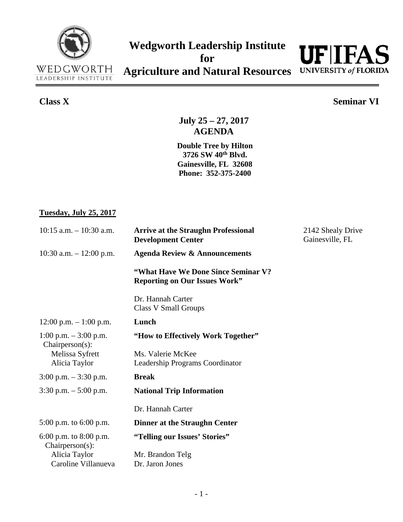



## **Class X Seminar VI**

**July 25 – 27, 2017 AGENDA**

**Double Tree by Hilton 3726 SW 40th Blvd. Gainesville, FL 32608 Phone: 352-375-2400**

## **Tuesday, July 25, 2017**

| $10:15$ a.m. $-10:30$ a.m.                     | <b>Arrive at the Straughn Professional</b><br><b>Development Center</b>      | 2142 Shealy Drive<br>Gainesville, FL |
|------------------------------------------------|------------------------------------------------------------------------------|--------------------------------------|
| 10:30 a.m. $-12:00$ p.m.                       | <b>Agenda Review &amp; Announcements</b>                                     |                                      |
|                                                | "What Have We Done Since Seminar V?"<br><b>Reporting on Our Issues Work"</b> |                                      |
|                                                | Dr. Hannah Carter<br><b>Class V Small Groups</b>                             |                                      |
| $12:00$ p.m. $-1:00$ p.m.                      | Lunch                                                                        |                                      |
| 1:00 p.m. $-3:00$ p.m.<br>$Chairperson(s)$ :   | "How to Effectively Work Together"                                           |                                      |
| Melissa Syfrett<br>Alicia Taylor               | Ms. Valerie McKee<br>Leadership Programs Coordinator                         |                                      |
| $3:00$ p.m. $-3:30$ p.m.                       | <b>Break</b>                                                                 |                                      |
| $3:30$ p.m. $-5:00$ p.m.                       | <b>National Trip Information</b>                                             |                                      |
|                                                | Dr. Hannah Carter                                                            |                                      |
| 5:00 p.m. to $6:00$ p.m.                       | Dinner at the Straughn Center                                                |                                      |
| 6:00 p.m. to $8:00$ p.m.<br>$Chairperson(s)$ : | "Telling our Issues' Stories"                                                |                                      |
| Alicia Taylor                                  | Mr. Brandon Telg                                                             |                                      |
| Caroline Villanueva                            | Dr. Jaron Jones                                                              |                                      |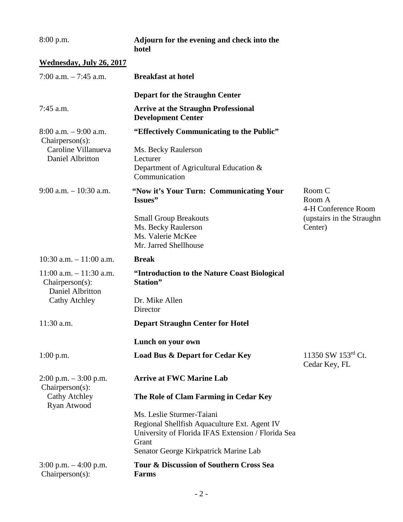| $8:00$ p.m.                                                          | Adjourn for the evening and check into the<br>hotel                                                                                                                               |                                         |
|----------------------------------------------------------------------|-----------------------------------------------------------------------------------------------------------------------------------------------------------------------------------|-----------------------------------------|
| <b>Wednesday, July 26, 2017</b>                                      |                                                                                                                                                                                   |                                         |
| 7:00 a.m. $-7:45$ a.m.                                               | <b>Breakfast at hotel</b>                                                                                                                                                         |                                         |
|                                                                      | <b>Depart for the Straughn Center</b>                                                                                                                                             |                                         |
| 7:45 a.m.                                                            | <b>Arrive at the Straughn Professional</b><br><b>Development Center</b>                                                                                                           |                                         |
| $8:00$ a.m. $-9:00$ a.m.<br>$Chairperson(s)$ :                       | "Effectively Communicating to the Public"                                                                                                                                         |                                         |
| Caroline Villanueva<br>Daniel Albritton                              | Ms. Becky Raulerson<br>Lecturer<br>Department of Agricultural Education &<br>Communication                                                                                        |                                         |
| $9:00$ a.m. $-10:30$ a.m.                                            | "Now it's Your Turn: Communicating Your<br>Issues"                                                                                                                                | Room C<br>Room A<br>4-H Conference Room |
|                                                                      | <b>Small Group Breakouts</b><br>Ms. Becky Raulerson<br>Ms. Valerie McKee<br>Mr. Jarred Shellhouse                                                                                 | (upstairs in the Straughn<br>Center)    |
| 10:30 a.m. $-11:00$ a.m.                                             | <b>Break</b>                                                                                                                                                                      |                                         |
| $11:00$ a.m. $-11:30$ a.m.<br>$Chairperson(s)$ :<br>Daniel Albritton | "Introduction to the Nature Coast Biological<br>Station"                                                                                                                          |                                         |
| <b>Cathy Atchley</b>                                                 | Dr. Mike Allen<br>Director                                                                                                                                                        |                                         |
| 11:30 a.m.                                                           | <b>Depart Straughn Center for Hotel</b>                                                                                                                                           |                                         |
|                                                                      | Lunch on your own                                                                                                                                                                 |                                         |
| $1:00$ p.m.                                                          | <b>Load Bus &amp; Depart for Cedar Key</b>                                                                                                                                        | 11350 SW 153rd Ct.<br>Cedar Key, FL     |
| $2:00$ p.m. $-3:00$ p.m.                                             | <b>Arrive at FWC Marine Lab</b>                                                                                                                                                   |                                         |
| $Chairperson(s)$ :<br><b>Cathy Atchley</b><br>Ryan Atwood            | The Role of Clam Farming in Cedar Key                                                                                                                                             |                                         |
|                                                                      | Ms. Leslie Sturmer-Taiani<br>Regional Shellfish Aquaculture Ext. Agent IV<br>University of Florida IFAS Extension / Florida Sea<br>Grant<br>Senator George Kirkpatrick Marine Lab |                                         |
| $3:00$ p.m. $-4:00$ p.m.<br>$Chairperson(s)$ :                       | Tour & Discussion of Southern Cross Sea<br><b>Farms</b>                                                                                                                           |                                         |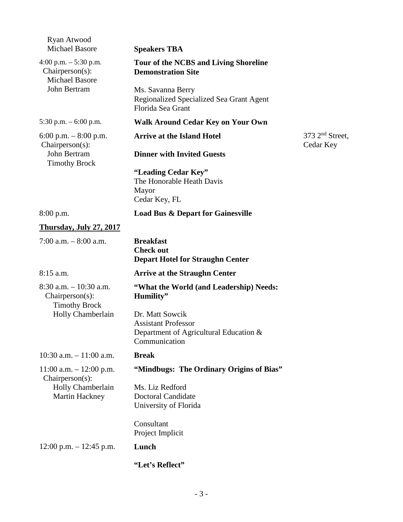| Ryan Atwood<br><b>Michael Basore</b>                                                         | <b>Speakers TBA</b>                                                                                      |                                  |
|----------------------------------------------------------------------------------------------|----------------------------------------------------------------------------------------------------------|----------------------------------|
| 4:00 p.m. $-5:30$ p.m.<br>$Chairperson(s)$ :<br><b>Michael Basore</b><br>John Bertram        | <b>Tour of the NCBS and Living Shoreline</b><br><b>Demonstration Site</b>                                |                                  |
|                                                                                              | Ms. Savanna Berry<br>Regionalized Specialized Sea Grant Agent<br>Florida Sea Grant                       |                                  |
| 5:30 p.m. $-6:00$ p.m.                                                                       | <b>Walk Around Cedar Key on Your Own</b>                                                                 |                                  |
| 6:00 p.m. $-8:00$ p.m.<br>$Chairperson(s)$ :<br>John Bertram<br><b>Timothy Brock</b>         | <b>Arrive at the Island Hotel</b>                                                                        | $373$ $2nd$ Street,<br>Cedar Key |
|                                                                                              | <b>Dinner with Invited Guests</b>                                                                        |                                  |
|                                                                                              | "Leading Cedar Key"<br>The Honorable Heath Davis<br>Mayor<br>Cedar Key, FL                               |                                  |
| 8:00 p.m.                                                                                    | <b>Load Bus &amp; Depart for Gainesville</b>                                                             |                                  |
| <b>Thursday, July 27, 2017</b>                                                               |                                                                                                          |                                  |
| 7:00 a.m. $-8:00$ a.m.                                                                       | <b>Breakfast</b><br><b>Check out</b><br><b>Depart Hotel for Straughn Center</b>                          |                                  |
| $8:15$ a.m.                                                                                  | <b>Arrive at the Straughn Center</b>                                                                     |                                  |
| $8:30$ a.m. $-10:30$ a.m.<br>$Chairperson(s)$ :<br><b>Timothy Brock</b><br>Holly Chamberlain | "What the World (and Leadership) Needs:<br>Humility"                                                     |                                  |
|                                                                                              | Dr. Matt Sowcik<br><b>Assistant Professor</b><br>Department of Agricultural Education &<br>Communication |                                  |
| $10:30$ a.m. $-11:00$ a.m.                                                                   | <b>Break</b>                                                                                             |                                  |
| $11:00$ a.m. $-12:00$ p.m.<br>$Chairperson(s)$ :<br>Holly Chamberlain<br>Martin Hackney      | "Mindbugs: The Ordinary Origins of Bias"                                                                 |                                  |
|                                                                                              | Ms. Liz Redford<br><b>Doctoral Candidate</b><br>University of Florida                                    |                                  |
|                                                                                              | Consultant<br>Project Implicit                                                                           |                                  |
| $12:00$ p.m. $-12:45$ p.m.                                                                   | Lunch                                                                                                    |                                  |
|                                                                                              | "Let's Reflect"                                                                                          |                                  |